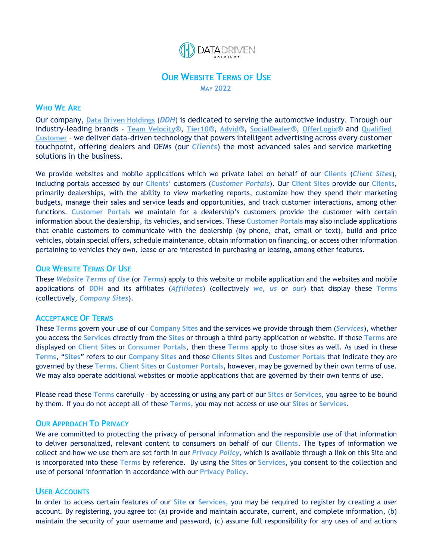

# **OUR WEBSITE TERMS OF USE MAY 2022**

# **WHO WE ARE**

Our company, **[Data Driven Holdings](https://datadrivenholdings.com/)** (*DDH*) is dedicated to serving the automotive industry. Through our industry-leading brands - **[Team Velocity](https://teamvelocitymarketing.com/)®**, **[Tier10](https://tier10.com/)®**, **[Advid](https://www.advidvideo.com/)®**, **[SocialDealer](https://socialdealer.com/)®**, **[OfferLogix](https://offerlogix.com/)®** and **[Qualified](http://www.thequalifedcustomer.com/)  [Customer](http://www.thequalifedcustomer.com/)** - we deliver data-driven technology that powers intelligent advertising across every customer touchpoint, offering dealers and OEMs (our *Clients*) the most advanced sales and service marketing solutions in the business.

We provide websites and mobile applications which we private label on behalf of our **Clients** (*Client Sites*), including portals accessed by our **Clients'** customers (*Customer Portals*). Our **Client Sites** provide our **Clients**, primarily dealerships, with the ability to view marketing reports, customize how they spend their marketing budgets, manage their sales and service leads and opportunities, and track customer interactions, among other functions. **Customer Portals** we maintain for a dealership's customers provide the customer with certain information about the dealership, its vehicles, and services. These **Customer Portals** may also include applications that enable customers to communicate with the dealership (by phone, chat, email or text), build and price vehicles, obtain special offers, schedule maintenance, obtain information on financing, or access other information pertaining to vehicles they own, lease or are interested in purchasing or leasing, among other features.

#### **OUR WEBSITE TERMS OF USE**

These *Website Terms of Use* (or *Terms*) apply to this website or mobile application and the websites and mobile applications of **DDH** and its affiliates (*Affiliates*) (collectively *we*, *us* or *our*) that display these **Terms** (collectively, *Company Sites*).

#### **ACCEPTANCE OF TERMS**

These **Terms** govern your use of our **Company Sites** and the services we provide through them (*Services*), whether you access the **Services** directly from the **Sites** or through a third party application or website. If these **Terms** are displayed on **Client Site**s or **Consumer Portals**, then these **Terms** apply to those sites as well. As used in these **Terms**, "**Sites**" refers to our **Company Sites** and those **Clients Sites** and **Customer Portals** that indicate they are governed by these **Terms**. **Client Sites** or **Customer Portals**, however, may be governed by their own terms of use. We may also operate additional websites or mobile applications that are governed by their own terms of use.

Please read these **Terms** carefully – by accessing or using any part of our **Sites** or **Services**, you agree to be bound by them. If you do not accept all of these **Terms**, you may not access or use our **Sites** or **Services**.

## **OUR APPROACH TO PRIVACY**

We are committed to protecting the privacy of personal information and the responsible use of that information to deliver personalized, relevant content to consumers on behalf of our **Clients**. The types of information we collect and how we use them are set forth in our *Privacy Policy*, which is available through a link on this Site and is incorporated into these **Terms** by reference. By using the **Sites** or **Services**, you consent to the collection and use of personal information in accordance with our **Privacy Policy**.

### **USER ACCOUNTS**

In order to access certain features of our **Site** or **Services**, you may be required to register by creating a user account. By registering, you agree to: (a) provide and maintain accurate, current, and complete information, (b) maintain the security of your username and password, (c) assume full responsibility for any uses of and actions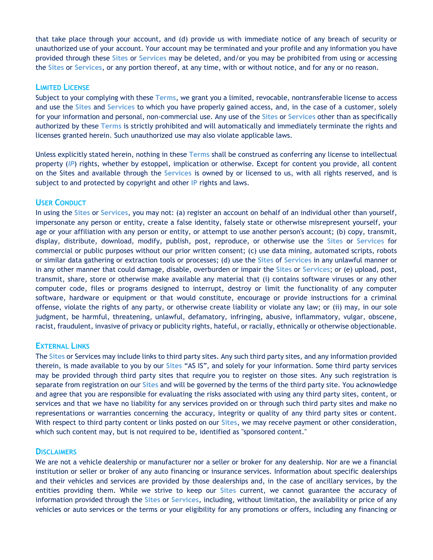that take place through your account, and (d) provide us with immediate notice of any breach of security or unauthorized use of your account. Your account may be terminated and your profile and any information you have provided through these **Sites** or **Services** may be deleted, and/or you may be prohibited from using or accessing the **Sites** or **Services**, or any portion thereof, at any time, with or without notice, and for any or no reason.

# **LIMITED LICENSE**

Subject to your complying with these **Terms**, we grant you a limited, revocable, nontransferable license to access and use the **Sites** and **Services** to which you have properly gained access, and, in the case of a customer, solely for your information and personal, non‐commercial use. Any use of the **Sites** or **Services** other than as specifically authorized by these **Terms** is strictly prohibited and will automatically and immediately terminate the rights and licenses granted herein. Such unauthorized use may also violate applicable laws.

Unless explicitly stated herein, nothing in these **Terms** shall be construed as conferring any license to intellectual property (*IP*) rights, whether by estoppel, implication or otherwise. Except for content you provide, all content on the Sites and available through the **Services** is owned by or licensed to us, with all rights reserved, and is subject to and protected by copyright and other **IP** rights and laws.

# **USER CONDUCT**

In using the **Sites** or **Services**, you may not: (a) register an account on behalf of an individual other than yourself, impersonate any person or entity, create a false identity, falsely state or otherwise misrepresent yourself, your age or your affiliation with any person or entity, or attempt to use another person's account; (b) copy, transmit, display, distribute, download, modify, publish, post, reproduce, or otherwise use the **Sites** or **Services** for commercial or public purposes without our prior written consent; (c) use data mining, automated scripts, robots or similar data gathering or extraction tools or processes; (d) use the **Sites** of **Services** in any unlawful manner or in any other manner that could damage, disable, overburden or impair the **Sites** or **Services**; or (e) upload, post, transmit, share, store or otherwise make available any material that (i) contains software viruses or any other computer code, files or programs designed to interrupt, destroy or limit the functionality of any computer software, hardware or equipment or that would constitute, encourage or provide instructions for a criminal offense, violate the rights of any party, or otherwise create liability or violate any law; or (ii) may, in our sole judgment, be harmful, threatening, unlawful, defamatory, infringing, abusive, inflammatory, vulgar, obscene, racist, fraudulent, invasive of privacy or publicity rights, hateful, or racially, ethnically or otherwise objectionable.

# **EXTERNAL LINKS**

The **Sites** or Services may include links to third party sites. Any such third party sites, and any information provided therein, is made available to you by our **Sites** "AS IS", and solely for your information. Some third party services may be provided through third party sites that require you to register on those sites. Any such registration is separate from registration on our **Sites** and will be governed by the terms of the third party site. You acknowledge and agree that you are responsible for evaluating the risks associated with using any third party sites, content, or services and that we have no liability for any services provided on or through such third party sites and make no representations or warranties concerning the accuracy, integrity or quality of any third party sites or content. With respect to third party content or links posted on our **Sites**, we may receive payment or other consideration, which such content may, but is not required to be, identified as "sponsored content."

# **DISCLAIMERS**

We are not a vehicle dealership or manufacturer nor a seller or broker for any dealership. Nor are we a financial institution or seller or broker of any auto financing or insurance services. Information about specific dealerships and their vehicles and services are provided by those dealerships and, in the case of ancillary services, by the entities providing them. While we strive to keep our **Sites** current, we cannot guarantee the accuracy of information provided through the **Sites** or **Services**, including, without limitation, the availability or price of any vehicles or auto services or the terms or your eligibility for any promotions or offers, including any financing or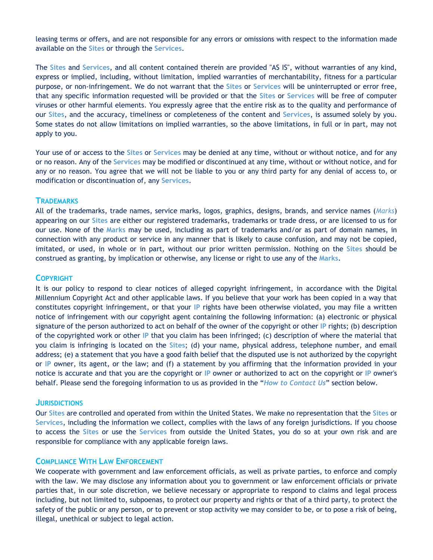leasing terms or offers, and are not responsible for any errors or omissions with respect to the information made available on the **Sites** or through the **Services**.

The **Sites** and **Services**, and all content contained therein are provided "AS IS", without warranties of any kind, express or implied, including, without limitation, implied warranties of merchantability, fitness for a particular purpose, or non‐infringement. We do not warrant that the **Sites** or **Services** will be uninterrupted or error free, that any specific information requested will be provided or that the **Sites** or **Services** will be free of computer viruses or other harmful elements. You expressly agree that the entire risk as to the quality and performance of our **Sites**, and the accuracy, timeliness or completeness of the content and **Services**, is assumed solely by you. Some states do not allow limitations on implied warranties, so the above limitations, in full or in part, may not apply to you.

Your use of or access to the **Sites** or **Services** may be denied at any time, without or without notice, and for any or no reason. Any of the **Services** may be modified or discontinued at any time, without or without notice, and for any or no reason. You agree that we will not be liable to you or any third party for any denial of access to, or modification or discontinuation of, any **Services**.

## **TRADEMARKS**

All of the trademarks, trade names, service marks, logos, graphics, designs, brands, and service names (*Marks*) appearing on our **Sites** are either our registered trademarks, trademarks or trade dress, or are licensed to us for our use. None of the **Marks** may be used, including as part of trademarks and/or as part of domain names, in connection with any product or service in any manner that is likely to cause confusion, and may not be copied, imitated, or used, in whole or in part, without our prior written permission. Nothing on the **Sites** should be construed as granting, by implication or otherwise, any license or right to use any of the **Marks**.

## **COPYRIGHT**

It is our policy to respond to clear notices of alleged copyright infringement, in accordance with the Digital Millennium Copyright Act and other applicable laws. If you believe that your work has been copied in a way that constitutes copyright infringement, or that your **IP** rights have been otherwise violated, you may file a written notice of infringement with our copyright agent containing the following information: (a) electronic or physical signature of the person authorized to act on behalf of the owner of the copyright or other **IP** rights; (b) description of the copyrighted work or other **IP** that you claim has been infringed; (c) description of where the material that you claim is infringing is located on the **Sites**; (d) your name, physical address, telephone number, and email address; (e) a statement that you have a good faith belief that the disputed use is not authorized by the copyright or **IP** owner, its agent, or the law; and (f) a statement by you affirming that the information provided in your notice is accurate and that you are the copyright or **IP** owner or authorized to act on the copyright or **IP** owner's behalf. Please send the foregoing information to us as provided in the "*How to Contact Us*" section below.

#### **JURISDICTIONS**

Our **Sites** are controlled and operated from within the United States. We make no representation that the **Sites** or **Services**, including the information we collect, complies with the laws of any foreign jurisdictions. If you choose to access the **Sites** or use the **Services** from outside the United States, you do so at your own risk and are responsible for compliance with any applicable foreign laws.

# **COMPLIANCE WITH LAW ENFORCEMENT**

We cooperate with government and law enforcement officials, as well as private parties, to enforce and comply with the law. We may disclose any information about you to government or law enforcement officials or private parties that, in our sole discretion, we believe necessary or appropriate to respond to claims and legal process including, but not limited to, subpoenas, to protect our property and rights or that of a third party, to protect the safety of the public or any person, or to prevent or stop activity we may consider to be, or to pose a risk of being, illegal, unethical or subject to legal action.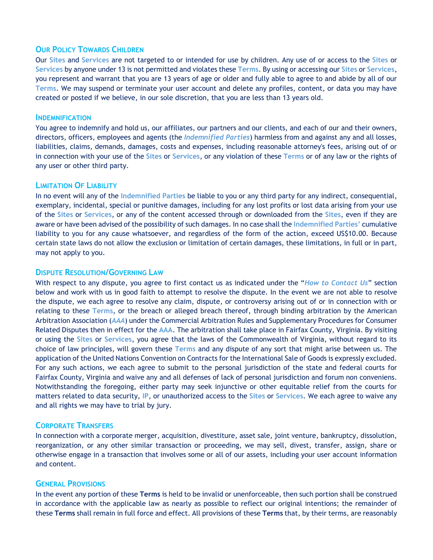# **OUR POLICY TOWARDS CHILDREN**

Our **Sites** and **Services** are not targeted to or intended for use by children. Any use of or access to the **Sites** or **Services** by anyone under 13 is not permitted and violates these **Terms**. By using or accessing our **Sites** or **Services**, you represent and warrant that you are 13 years of age or older and fully able to agree to and abide by all of our **Terms**. We may suspend or terminate your user account and delete any profiles, content, or data you may have created or posted if we believe, in our sole discretion, that you are less than 13 years old.

#### **INDEMNIFICATION**

You agree to indemnify and hold us, our affiliates, our partners and our clients, and each of our and their owners, directors, officers, employees and agents (the *Indemnified Parties*) harmless from and against any and all losses, liabilities, claims, demands, damages, costs and expenses, including reasonable attorney's fees, arising out of or in connection with your use of the **Sites** or **Services**, or any violation of these **Terms** or of any law or the rights of any user or other third party.

#### **LIMITATION OF LIABILITY**

In no event will any of the **Indemnified Parties** be liable to you or any third party for any indirect, consequential, exemplary, incidental, special or punitive damages, including for any lost profits or lost data arising from your use of the **Sites** or **Services**, or any of the content accessed through or downloaded from the **Sites**, even if they are aware or have been advised of the possibility of such damages. In no case shall the **Indemnified Parties'** cumulative liability to you for any cause whatsoever, and regardless of the form of the action, exceed US\$10.00. Because certain state laws do not allow the exclusion or limitation of certain damages, these limitations, in full or in part, may not apply to you.

## **DISPUTE RESOLUTION/GOVERNING LAW**

With respect to any dispute, you agree to first contact us as indicated under the "*How to Contact Us*" section below and work with us in good faith to attempt to resolve the dispute. In the event we are not able to resolve the dispute, we each agree to resolve any claim, dispute, or controversy arising out of or in connection with or relating to these **Terms**, or the breach or alleged breach thereof, through binding arbitration by the American Arbitration Association (*AAA*) under the Commercial Arbitration Rules and Supplementary Procedures for Consumer Related Disputes then in effect for the **AAA**. The arbitration shall take place in Fairfax County, Virginia. By visiting or using the **Sites** or **Services**, you agree that the laws of the Commonwealth of Virginia, without regard to its choice of law principles, will govern these **Terms** and any dispute of any sort that might arise between us. The application of the United Nations Convention on Contracts for the International Sale of Goods is expressly excluded. For any such actions, we each agree to submit to the personal jurisdiction of the state and federal courts for Fairfax County, Virginia and waive any and all defenses of lack of personal jurisdiction and forum non conveniens. Notwithstanding the foregoing, either party may seek injunctive or other equitable relief from the courts for matters related to data security, **IP**, or unauthorized access to the **Sites** or **Services**. We each agree to waive any and all rights we may have to trial by jury.

# **CORPORATE TRANSFERS**

In connection with a corporate merger, acquisition, divestiture, asset sale, joint venture, bankruptcy, dissolution, reorganization, or any other similar transaction or proceeding, we may sell, divest, transfer, assign, share or otherwise engage in a transaction that involves some or all of our assets, including your user account information and content.

# **GENERAL PROVISIONS**

In the event any portion of these **Terms** is held to be invalid or unenforceable, then such portion shall be construed in accordance with the applicable law as nearly as possible to reflect our original intentions; the remainder of these **Terms** shall remain in full force and effect. All provisions of these **Terms** that, by their terms, are reasonably